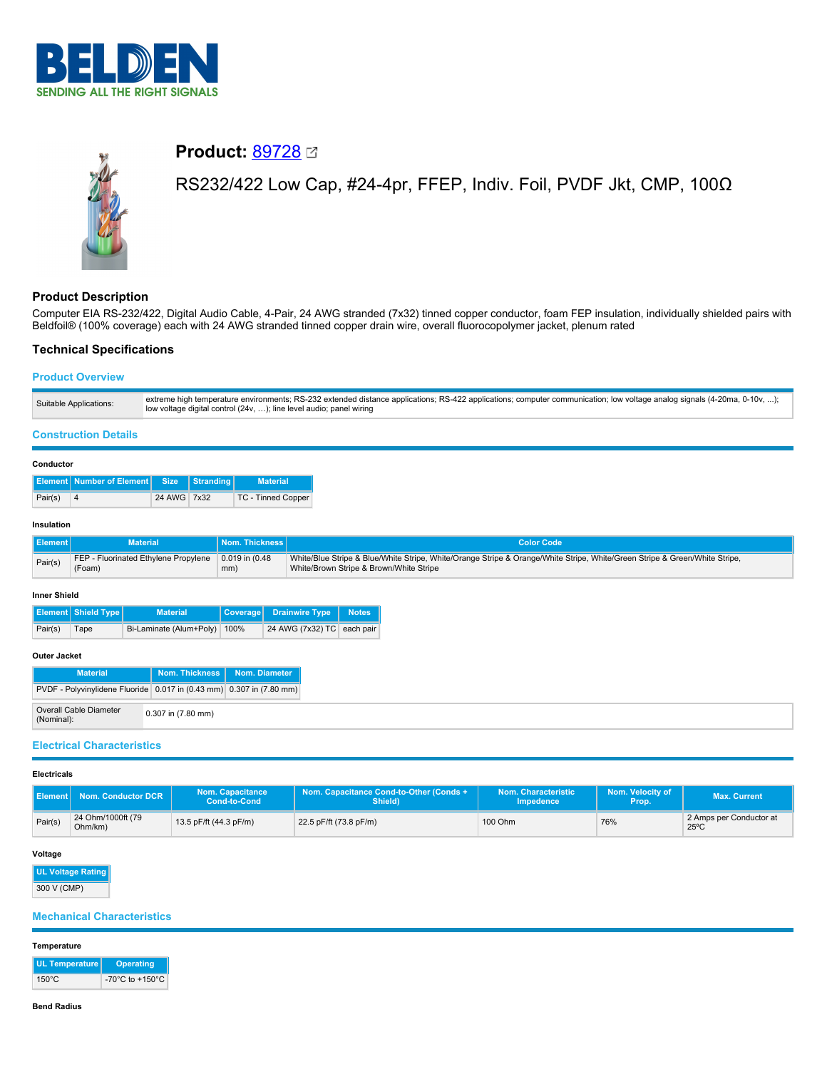



# **Product:** [89728](https://catalog.belden.com/index.cfm?event=pd&p=PF_89728&tab=downloads)

# RS232/422 Low Cap, #24-4pr, FFEP, Indiv. Foil, PVDF Jkt, CMP, 100Ω

## **Product Description**

Computer EIA RS-232/422, Digital Audio Cable, 4-Pair, 24 AWG stranded (7x32) tinned copper conductor, foam FEP insulation, individually shielded pairs with Beldfoil® (100% coverage) each with 24 AWG stranded tinned copper drain wire, overall fluorocopolymer jacket, plenum rated

## **Technical Specifications**

## **Product Overview**

| Suitable Applications: | extreme high temperature environments; RS-232 extended distance applications; RS-422 applications; computer communication; low voltage analog signals (4-20ma, 0-10v, );<br>low voltage digital control (24v, ); line level audio; panel wiring |
|------------------------|-------------------------------------------------------------------------------------------------------------------------------------------------------------------------------------------------------------------------------------------------|
|                        |                                                                                                                                                                                                                                                 |

## **Construction Details**

#### **Conductor**

|         | <b>Element Number of Element Size Stranding</b> |             | <b>Material</b>    |
|---------|-------------------------------------------------|-------------|--------------------|
| Pair(s) |                                                 | 24 AWG 7x32 | TC - Tinned Copper |

### **Insulation**

|         | <b>Material</b>                      | Nom. Thickness      | <b>Color Code</b>                                                                                                          |
|---------|--------------------------------------|---------------------|----------------------------------------------------------------------------------------------------------------------------|
| Pair(s) | FEP - Fluorinated Ethylene Propylene | $0.019$ in $(0.48)$ | White/Blue Stripe & Blue/White Stripe, White/Orange Stripe & Orange/White Stripe, White/Green Stripe & Green/White Stripe, |
|         | (Foam)                               | mm)                 | White/Brown Stripe & Brown/White Stripe                                                                                    |

#### **Inner Shield**

|         | <b>Element</b> Shield Type | <b>Material</b>              | Coverage Drainwire Type Notes |  |
|---------|----------------------------|------------------------------|-------------------------------|--|
| Pair(s) | Tape                       | Bi-Laminate (Alum+Poly) 100% | 24 AWG (7x32) TC each pair    |  |

## **Outer Jacket**

| <b>Material</b>                                                      |                    | Nom. Thickness Nom. Diameter |
|----------------------------------------------------------------------|--------------------|------------------------------|
| PVDF - Polyvinylidene Fluoride 0.017 in (0.43 mm) 0.307 in (7.80 mm) |                    |                              |
| Overall Cable Diameter<br>(Nominal):                                 | 0.307 in (7.80 mm) |                              |

## **Electrical Characteristics**

#### **Electricals**

| ll Element P | Nom. Conductor DCR           | Nom. Capacitance<br>Cond-to-Cond | Nom. Capacitance Cond-to-Other (Conds +<br>Shield) | Nom. Characteristic<br><b>Impedence</b> | Nom. Velocity of<br>Prop. | <b>Max. Current</b>                       |
|--------------|------------------------------|----------------------------------|----------------------------------------------------|-----------------------------------------|---------------------------|-------------------------------------------|
| Pair(s)      | 24 Ohm/1000ft (79<br>Ohm/km) | 13.5 pF/ft (44.3 pF/m)           | 22.5 pF/ft (73.8 pF/m)                             | 100 Ohm                                 | 76%                       | 2 Amps per Conductor at<br>$25^{\circ}$ C |

### **Voltage**

**UL Voltage Rating** 300 V (CMP)

## **Mechanical Characteristics**

#### **Temperature**

| UL Temperature  | <b>Operating</b>                      |
|-----------------|---------------------------------------|
| $150^{\circ}$ C | -70 $^{\circ}$ C to +150 $^{\circ}$ C |

#### **Bend Radius**